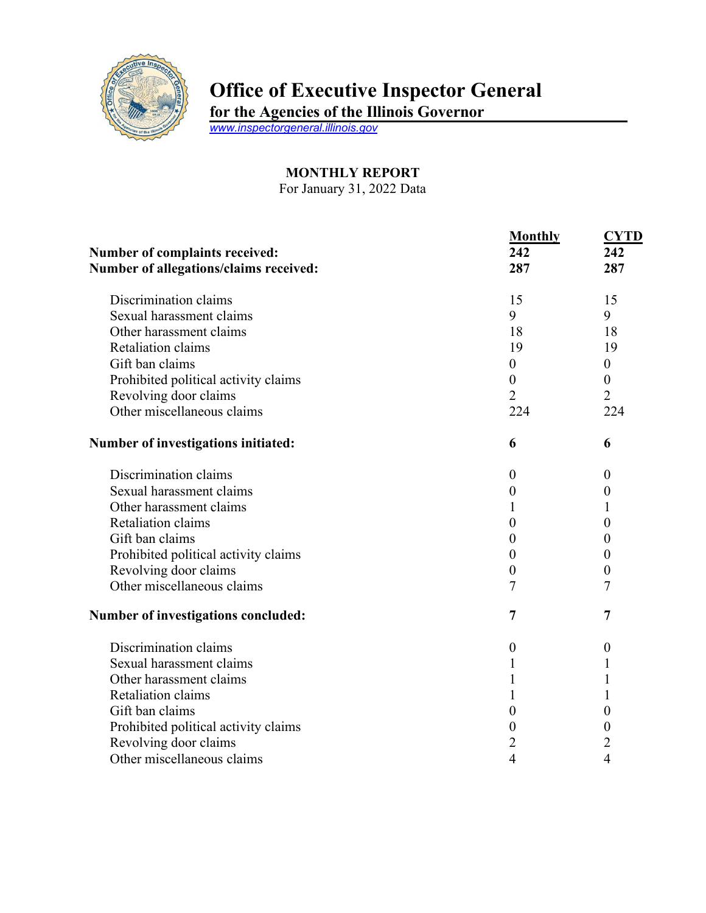

## **Office of Executive Inspector General**

**for the Agencies of the Illinois Governor**

*[www.inspectorgeneral.illinois.gov](http://www.inspectorgeneral.illinois.gov/)*

## **MONTHLY REPORT**

For January 31, 2022 Data

| Number of complaints received:         | <b>Monthly</b><br>242 | <b>CYTD</b><br>242 |
|----------------------------------------|-----------------------|--------------------|
| Number of allegations/claims received: | 287                   | 287                |
| Discrimination claims                  | 15                    | 15                 |
| Sexual harassment claims               | 9                     | 9                  |
| Other harassment claims                | 18                    | 18                 |
| Retaliation claims                     | 19                    | 19                 |
| Gift ban claims                        | $\boldsymbol{0}$      | $\boldsymbol{0}$   |
| Prohibited political activity claims   | $\boldsymbol{0}$      | $\boldsymbol{0}$   |
| Revolving door claims                  | $\overline{2}$        | $\overline{2}$     |
| Other miscellaneous claims             | 224                   | 224                |
| Number of investigations initiated:    | 6                     | 6                  |
| Discrimination claims                  | $\boldsymbol{0}$      | $\theta$           |
| Sexual harassment claims               | $\boldsymbol{0}$      | $\overline{0}$     |
| Other harassment claims                | 1                     |                    |
| Retaliation claims                     | $\boldsymbol{0}$      | 0                  |
| Gift ban claims                        | $\boldsymbol{0}$      | $\boldsymbol{0}$   |
| Prohibited political activity claims   | $\boldsymbol{0}$      | 0                  |
| Revolving door claims                  | $\boldsymbol{0}$      | $\boldsymbol{0}$   |
| Other miscellaneous claims             | 7                     | 7                  |
| Number of investigations concluded:    | 7                     | 7                  |
| Discrimination claims                  | $\boldsymbol{0}$      | $\boldsymbol{0}$   |
| Sexual harassment claims               | 1                     | 1                  |
| Other harassment claims                | 1                     |                    |
| Retaliation claims                     | 1                     |                    |
| Gift ban claims                        | $\boldsymbol{0}$      | 0                  |
| Prohibited political activity claims   | $\boldsymbol{0}$      | 0                  |
| Revolving door claims                  | $\overline{c}$        | 2                  |
| Other miscellaneous claims             | 4                     | 4                  |